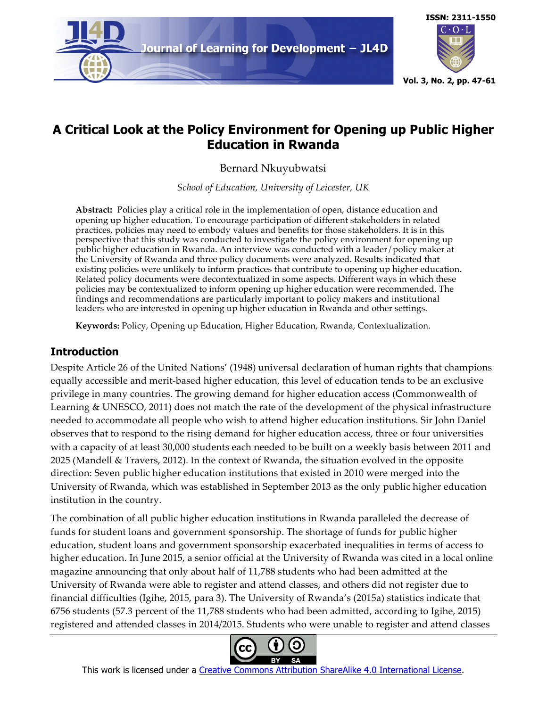

# **ISSN: 2311-1550**  $C \cdot O \cdot L$ **Vol. 3, No. 2, pp. 47-61**

## **A Critical Look at the Policy Environment for Opening up Public Higher Education in Rwanda**

Bernard Nkuyubwatsi

*School of Education, University of Leicester, UK*

**Abstract:** Policies play a critical role in the implementation of open, distance education and opening up higher education. To encourage participation of different stakeholders in related practices, policies may need to embody values and benefits for those stakeholders. It is in this perspective that this study was conducted to investigate the policy environment for opening up public higher education in Rwanda. An interview was conducted with a leader/policy maker at the University of Rwanda and three policy documents were analyzed. Results indicated that existing policies were unlikely to inform practices that contribute to opening up higher education. Related policy documents were decontextualized in some aspects. Different ways in which these policies may be contextualized to inform opening up higher education were recommended. The findings and recommendations are particularly important to policy makers and institutional leaders who are interested in opening up higher education in Rwanda and other settings.

**Keywords:** Policy, Opening up Education, Higher Education, Rwanda, Contextualization.

## **Introduction**

Despite Article 26 of the United Nations' (1948) universal declaration of human rights that champions equally accessible and merit-based higher education, this level of education tends to be an exclusive privilege in many countries. The growing demand for higher education access (Commonwealth of Learning & UNESCO, 2011) does not match the rate of the development of the physical infrastructure needed to accommodate all people who wish to attend higher education institutions. Sir John Daniel observes that to respond to the rising demand for higher education access, three or four universities with a capacity of at least 30,000 students each needed to be built on a weekly basis between 2011 and 2025 (Mandell & Travers, 2012). In the context of Rwanda, the situation evolved in the opposite direction: Seven public higher education institutions that existed in 2010 were merged into the University of Rwanda, which was established in September 2013 as the only public higher education institution in the country.

The combination of all public higher education institutions in Rwanda paralleled the decrease of funds for student loans and government sponsorship. The shortage of funds for public higher education, student loans and government sponsorship exacerbated inequalities in terms of access to higher education. In June 2015, a senior official at the University of Rwanda was cited in a local online magazine announcing that only about half of 11,788 students who had been admitted at the University of Rwanda were able to register and attend classes, and others did not register due to financial difficulties (Igihe, 2015, para 3). The University of Rwanda's (2015a) statistics indicate that 6756 students (57.3 percent of the 11,788 students who had been admitted, according to Igihe, 2015) registered and attended classes in 2014/2015. Students who were unable to register and attend classes



This work is licensed under a Creative Commons Attribution ShareAlike 4.0 International License.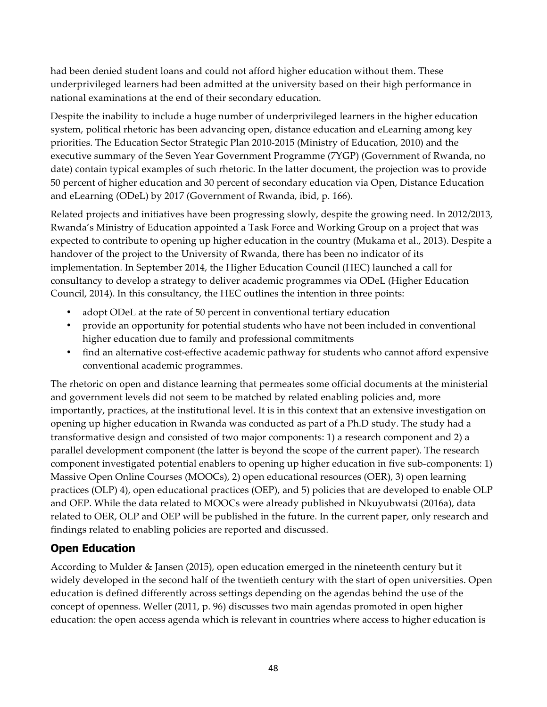had been denied student loans and could not afford higher education without them. These underprivileged learners had been admitted at the university based on their high performance in national examinations at the end of their secondary education.

Despite the inability to include a huge number of underprivileged learners in the higher education system, political rhetoric has been advancing open, distance education and eLearning among key priorities. The Education Sector Strategic Plan 2010-2015 (Ministry of Education, 2010) and the executive summary of the Seven Year Government Programme (7YGP) (Government of Rwanda, no date) contain typical examples of such rhetoric. In the latter document, the projection was to provide 50 percent of higher education and 30 percent of secondary education via Open, Distance Education and eLearning (ODeL) by 2017 (Government of Rwanda, ibid, p. 166).

Related projects and initiatives have been progressing slowly, despite the growing need. In 2012/2013, Rwanda's Ministry of Education appointed a Task Force and Working Group on a project that was expected to contribute to opening up higher education in the country (Mukama et al., 2013). Despite a handover of the project to the University of Rwanda, there has been no indicator of its implementation. In September 2014, the Higher Education Council (HEC) launched a call for consultancy to develop a strategy to deliver academic programmes via ODeL (Higher Education Council, 2014). In this consultancy, the HEC outlines the intention in three points:

- adopt ODeL at the rate of 50 percent in conventional tertiary education
- provide an opportunity for potential students who have not been included in conventional higher education due to family and professional commitments
- find an alternative cost-effective academic pathway for students who cannot afford expensive conventional academic programmes.

The rhetoric on open and distance learning that permeates some official documents at the ministerial and government levels did not seem to be matched by related enabling policies and, more importantly, practices, at the institutional level. It is in this context that an extensive investigation on opening up higher education in Rwanda was conducted as part of a Ph.D study. The study had a transformative design and consisted of two major components: 1) a research component and 2) a parallel development component (the latter is beyond the scope of the current paper). The research component investigated potential enablers to opening up higher education in five sub-components: 1) Massive Open Online Courses (MOOCs), 2) open educational resources (OER), 3) open learning practices (OLP) 4), open educational practices (OEP), and 5) policies that are developed to enable OLP and OEP. While the data related to MOOCs were already published in Nkuyubwatsi (2016a), data related to OER, OLP and OEP will be published in the future. In the current paper, only research and findings related to enabling policies are reported and discussed.

## **Open Education**

According to Mulder & Jansen (2015), open education emerged in the nineteenth century but it widely developed in the second half of the twentieth century with the start of open universities. Open education is defined differently across settings depending on the agendas behind the use of the concept of openness. Weller (2011, p. 96) discusses two main agendas promoted in open higher education: the open access agenda which is relevant in countries where access to higher education is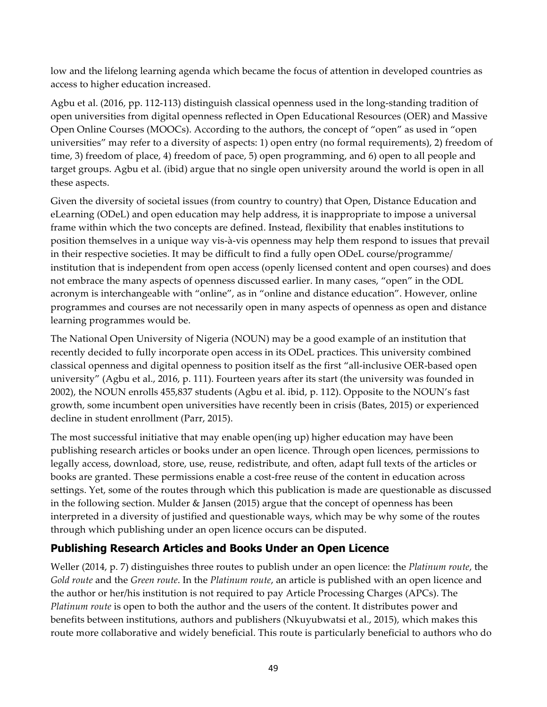low and the lifelong learning agenda which became the focus of attention in developed countries as access to higher education increased.

Agbu et al. (2016, pp. 112-113) distinguish classical openness used in the long-standing tradition of open universities from digital openness reflected in Open Educational Resources (OER) and Massive Open Online Courses (MOOCs). According to the authors, the concept of "open" as used in "open universities" may refer to a diversity of aspects: 1) open entry (no formal requirements), 2) freedom of time, 3) freedom of place, 4) freedom of pace, 5) open programming, and 6) open to all people and target groups. Agbu et al. (ibid) argue that no single open university around the world is open in all these aspects.

Given the diversity of societal issues (from country to country) that Open, Distance Education and eLearning (ODeL) and open education may help address, it is inappropriate to impose a universal frame within which the two concepts are defined. Instead, flexibility that enables institutions to position themselves in a unique way vis-à-vis openness may help them respond to issues that prevail in their respective societies. It may be difficult to find a fully open ODeL course/programme/ institution that is independent from open access (openly licensed content and open courses) and does not embrace the many aspects of openness discussed earlier. In many cases, "open" in the ODL acronym is interchangeable with "online", as in "online and distance education". However, online programmes and courses are not necessarily open in many aspects of openness as open and distance learning programmes would be.

The National Open University of Nigeria (NOUN) may be a good example of an institution that recently decided to fully incorporate open access in its ODeL practices. This university combined classical openness and digital openness to position itself as the first "all-inclusive OER-based open university" (Agbu et al., 2016, p. 111). Fourteen years after its start (the university was founded in 2002), the NOUN enrolls 455,837 students (Agbu et al. ibid, p. 112). Opposite to the NOUN's fast growth, some incumbent open universities have recently been in crisis (Bates, 2015) or experienced decline in student enrollment (Parr, 2015).

The most successful initiative that may enable open(ing up) higher education may have been publishing research articles or books under an open licence. Through open licences, permissions to legally access, download, store, use, reuse, redistribute, and often, adapt full texts of the articles or books are granted. These permissions enable a cost-free reuse of the content in education across settings. Yet, some of the routes through which this publication is made are questionable as discussed in the following section. Mulder & Jansen (2015) argue that the concept of openness has been interpreted in a diversity of justified and questionable ways, which may be why some of the routes through which publishing under an open licence occurs can be disputed.

## **Publishing Research Articles and Books Under an Open Licence**

Weller (2014, p. 7) distinguishes three routes to publish under an open licence: the *Platinum route*, the *Gold route* and the *Green route*. In the *Platinum route*, an article is published with an open licence and the author or her/his institution is not required to pay Article Processing Charges (APCs). The *Platinum route* is open to both the author and the users of the content. It distributes power and benefits between institutions, authors and publishers (Nkuyubwatsi et al., 2015), which makes this route more collaborative and widely beneficial. This route is particularly beneficial to authors who do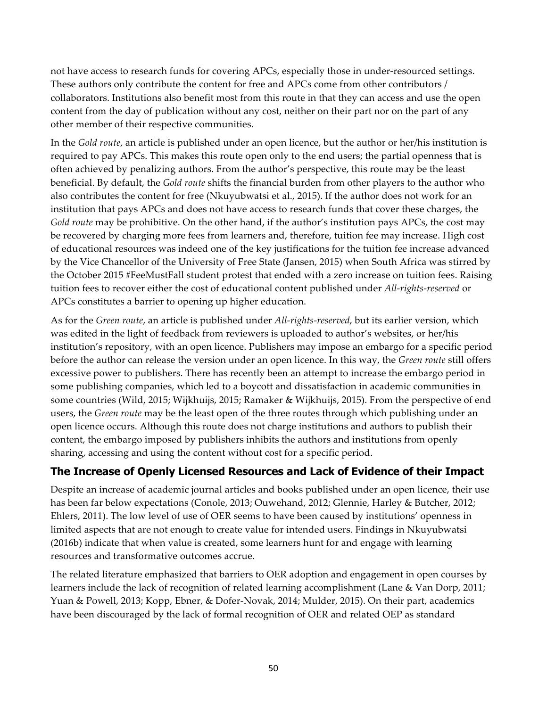not have access to research funds for covering APCs, especially those in under-resourced settings. These authors only contribute the content for free and APCs come from other contributors / collaborators. Institutions also benefit most from this route in that they can access and use the open content from the day of publication without any cost, neither on their part nor on the part of any other member of their respective communities.

In the *Gold route*, an article is published under an open licence, but the author or her/his institution is required to pay APCs. This makes this route open only to the end users; the partial openness that is often achieved by penalizing authors. From the author's perspective, this route may be the least beneficial. By default, the *Gold route* shifts the financial burden from other players to the author who also contributes the content for free (Nkuyubwatsi et al., 2015). If the author does not work for an institution that pays APCs and does not have access to research funds that cover these charges, the *Gold route* may be prohibitive. On the other hand, if the author's institution pays APCs, the cost may be recovered by charging more fees from learners and, therefore, tuition fee may increase. High cost of educational resources was indeed one of the key justifications for the tuition fee increase advanced by the Vice Chancellor of the University of Free State (Jansen, 2015) when South Africa was stirred by the October 2015 #FeeMustFall student protest that ended with a zero increase on tuition fees. Raising tuition fees to recover either the cost of educational content published under *All-rights-reserved* or APCs constitutes a barrier to opening up higher education.

As for the *Green route*, an article is published under *All-rights-reserved*, but its earlier version, which was edited in the light of feedback from reviewers is uploaded to author's websites, or her/his institution's repository, with an open licence. Publishers may impose an embargo for a specific period before the author can release the version under an open licence. In this way, the *Green route* still offers excessive power to publishers. There has recently been an attempt to increase the embargo period in some publishing companies, which led to a boycott and dissatisfaction in academic communities in some countries (Wild, 2015; Wijkhuijs, 2015; Ramaker & Wijkhuijs, 2015). From the perspective of end users, the *Green route* may be the least open of the three routes through which publishing under an open licence occurs. Although this route does not charge institutions and authors to publish their content, the embargo imposed by publishers inhibits the authors and institutions from openly sharing, accessing and using the content without cost for a specific period.

## **The Increase of Openly Licensed Resources and Lack of Evidence of their Impact**

Despite an increase of academic journal articles and books published under an open licence, their use has been far below expectations (Conole, 2013; Ouwehand, 2012; Glennie, Harley & Butcher, 2012; Ehlers, 2011). The low level of use of OER seems to have been caused by institutions' openness in limited aspects that are not enough to create value for intended users. Findings in Nkuyubwatsi (2016b) indicate that when value is created, some learners hunt for and engage with learning resources and transformative outcomes accrue.

The related literature emphasized that barriers to OER adoption and engagement in open courses by learners include the lack of recognition of related learning accomplishment (Lane & Van Dorp, 2011; Yuan & Powell, 2013; Kopp, Ebner, & Dofer-Novak, 2014; Mulder, 2015). On their part, academics have been discouraged by the lack of formal recognition of OER and related OEP as standard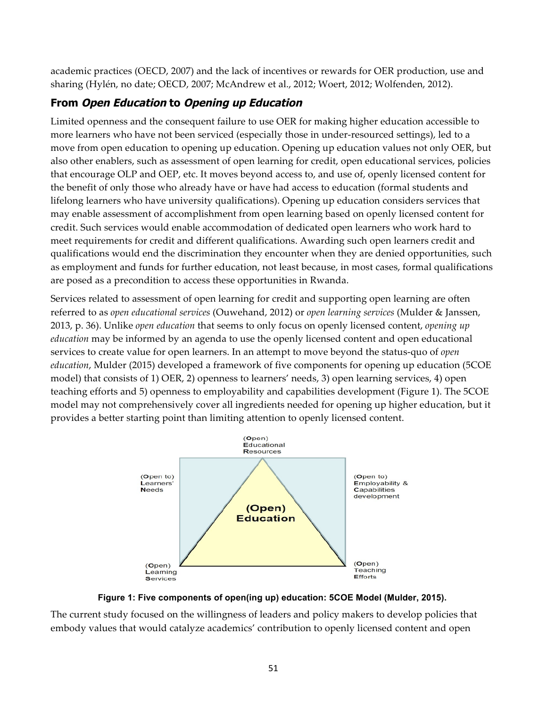academic practices (OECD, 2007) and the lack of incentives or rewards for OER production, use and sharing (Hylén, no date; OECD, 2007; McAndrew et al., 2012; Woert, 2012; Wolfenden, 2012).

## **From Open Education to Opening up Education**

Limited openness and the consequent failure to use OER for making higher education accessible to more learners who have not been serviced (especially those in under-resourced settings), led to a move from open education to opening up education. Opening up education values not only OER, but also other enablers, such as assessment of open learning for credit, open educational services, policies that encourage OLP and OEP, etc. It moves beyond access to, and use of, openly licensed content for the benefit of only those who already have or have had access to education (formal students and lifelong learners who have university qualifications). Opening up education considers services that may enable assessment of accomplishment from open learning based on openly licensed content for credit. Such services would enable accommodation of dedicated open learners who work hard to meet requirements for credit and different qualifications. Awarding such open learners credit and qualifications would end the discrimination they encounter when they are denied opportunities, such as employment and funds for further education, not least because, in most cases, formal qualifications are posed as a precondition to access these opportunities in Rwanda.

Services related to assessment of open learning for credit and supporting open learning are often referred to as *open educational services* (Ouwehand, 2012) or *open learning services* (Mulder & Janssen, 2013, p. 36). Unlike *open education* that seems to only focus on openly licensed content, *opening up education* may be informed by an agenda to use the openly licensed content and open educational services to create value for open learners. In an attempt to move beyond the status-quo of *open education*, Mulder (2015) developed a framework of five components for opening up education (5COE model) that consists of 1) OER, 2) openness to learners' needs, 3) open learning services, 4) open teaching efforts and 5) openness to employability and capabilities development (Figure 1). The 5COE model may not comprehensively cover all ingredients needed for opening up higher education, but it provides a better starting point than limiting attention to openly licensed content.



**Figure 1: Five components of open(ing up) education: 5COE Model (Mulder, 2015).**

The current study focused on the willingness of leaders and policy makers to develop policies that embody values that would catalyze academics' contribution to openly licensed content and open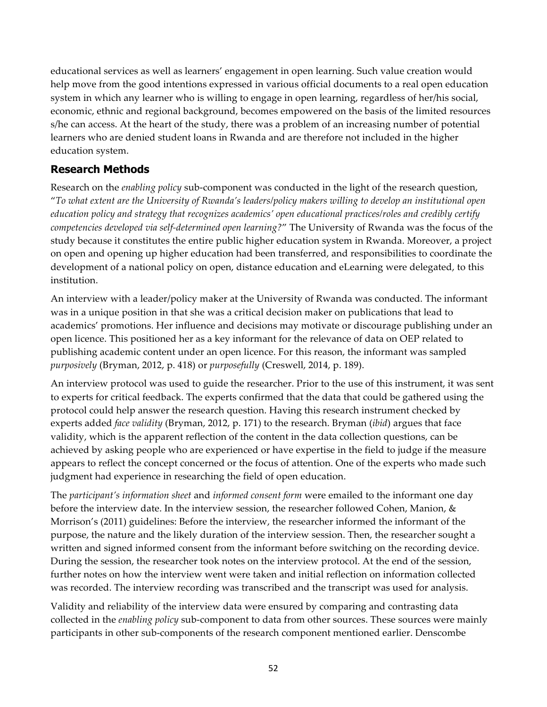educational services as well as learners' engagement in open learning. Such value creation would help move from the good intentions expressed in various official documents to a real open education system in which any learner who is willing to engage in open learning, regardless of her/his social, economic, ethnic and regional background, becomes empowered on the basis of the limited resources s/he can access. At the heart of the study, there was a problem of an increasing number of potential learners who are denied student loans in Rwanda and are therefore not included in the higher education system.

## **Research Methods**

Research on the *enabling policy* sub-component was conducted in the light of the research question, "*To what extent are the University of Rwanda's leaders/policy makers willing to develop an institutional open education policy and strategy that recognizes academics' open educational practices/roles and credibly certify competencies developed via self-determined open learning?*" The University of Rwanda was the focus of the study because it constitutes the entire public higher education system in Rwanda. Moreover, a project on open and opening up higher education had been transferred, and responsibilities to coordinate the development of a national policy on open, distance education and eLearning were delegated, to this institution.

An interview with a leader/policy maker at the University of Rwanda was conducted. The informant was in a unique position in that she was a critical decision maker on publications that lead to academics' promotions. Her influence and decisions may motivate or discourage publishing under an open licence. This positioned her as a key informant for the relevance of data on OEP related to publishing academic content under an open licence. For this reason, the informant was sampled *purposively* (Bryman, 2012, p. 418) or *purposefully* (Creswell, 2014, p. 189).

An interview protocol was used to guide the researcher. Prior to the use of this instrument, it was sent to experts for critical feedback. The experts confirmed that the data that could be gathered using the protocol could help answer the research question. Having this research instrument checked by experts added *face validity* (Bryman, 2012, p. 171) to the research. Bryman (*ibid*) argues that face validity, which is the apparent reflection of the content in the data collection questions, can be achieved by asking people who are experienced or have expertise in the field to judge if the measure appears to reflect the concept concerned or the focus of attention. One of the experts who made such judgment had experience in researching the field of open education.

The *participant's information sheet* and *informed consent form* were emailed to the informant one day before the interview date. In the interview session, the researcher followed Cohen, Manion, & Morrison's (2011) guidelines: Before the interview, the researcher informed the informant of the purpose, the nature and the likely duration of the interview session. Then, the researcher sought a written and signed informed consent from the informant before switching on the recording device. During the session, the researcher took notes on the interview protocol. At the end of the session, further notes on how the interview went were taken and initial reflection on information collected was recorded. The interview recording was transcribed and the transcript was used for analysis.

Validity and reliability of the interview data were ensured by comparing and contrasting data collected in the *enabling policy* sub-component to data from other sources. These sources were mainly participants in other sub-components of the research component mentioned earlier. Denscombe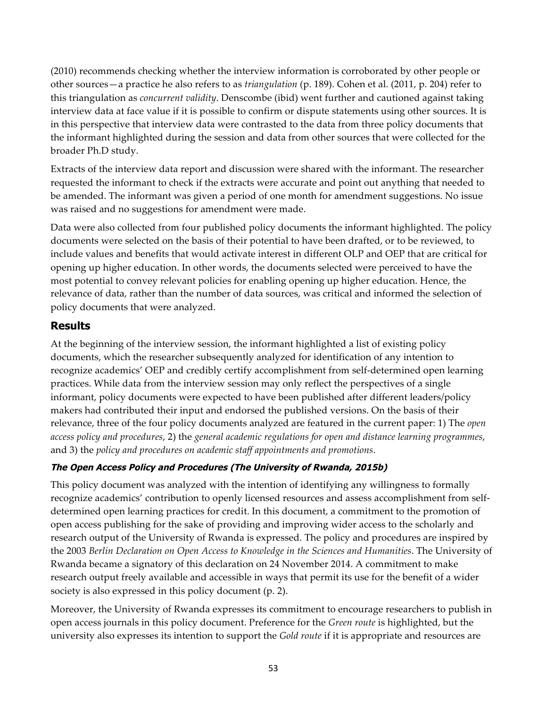(2010) recommends checking whether the interview information is corroborated by other people or other sources—a practice he also refers to as *triangulation* (p. 189). Cohen et al. (2011, p. 204) refer to this triangulation as *concurrent validity*. Denscombe (ibid) went further and cautioned against taking interview data at face value if it is possible to confirm or dispute statements using other sources. It is in this perspective that interview data were contrasted to the data from three policy documents that the informant highlighted during the session and data from other sources that were collected for the broader Ph.D study.

Extracts of the interview data report and discussion were shared with the informant. The researcher requested the informant to check if the extracts were accurate and point out anything that needed to be amended. The informant was given a period of one month for amendment suggestions. No issue was raised and no suggestions for amendment were made.

Data were also collected from four published policy documents the informant highlighted. The policy documents were selected on the basis of their potential to have been drafted, or to be reviewed, to include values and benefits that would activate interest in different OLP and OEP that are critical for opening up higher education. In other words, the documents selected were perceived to have the most potential to convey relevant policies for enabling opening up higher education. Hence, the relevance of data, rather than the number of data sources, was critical and informed the selection of policy documents that were analyzed.

## **Results**

At the beginning of the interview session, the informant highlighted a list of existing policy documents, which the researcher subsequently analyzed for identification of any intention to recognize academics' OEP and credibly certify accomplishment from self-determined open learning practices. While data from the interview session may only reflect the perspectives of a single informant, policy documents were expected to have been published after different leaders/policy makers had contributed their input and endorsed the published versions. On the basis of their relevance, three of the four policy documents analyzed are featured in the current paper: 1) The *open access policy and procedures*, 2) the *general academic regulations for open and distance learning programmes*, and 3) the *policy and procedures on academic staff appointments and promotions*.

## **The Open Access Policy and Procedures (The University of Rwanda, 2015b)**

This policy document was analyzed with the intention of identifying any willingness to formally recognize academics' contribution to openly licensed resources and assess accomplishment from selfdetermined open learning practices for credit. In this document, a commitment to the promotion of open access publishing for the sake of providing and improving wider access to the scholarly and research output of the University of Rwanda is expressed. The policy and procedures are inspired by the 2003 *Berlin Declaration on Open Access to Knowledge in the Sciences and Humanities*. The University of Rwanda became a signatory of this declaration on 24 November 2014. A commitment to make research output freely available and accessible in ways that permit its use for the benefit of a wider society is also expressed in this policy document (p. 2).

Moreover, the University of Rwanda expresses its commitment to encourage researchers to publish in open access journals in this policy document. Preference for the *Green route* is highlighted, but the university also expresses its intention to support the *Gold route* if it is appropriate and resources are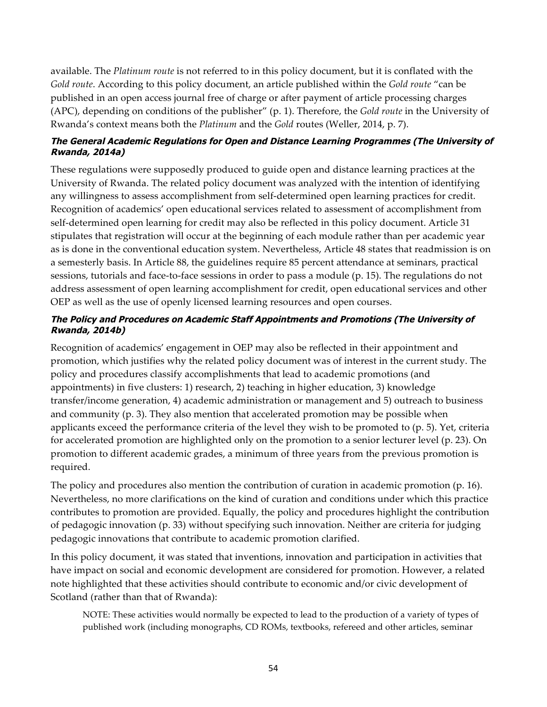available. The *Platinum route* is not referred to in this policy document, but it is conflated with the *Gold route*. According to this policy document, an article published within the *Gold route* "can be published in an open access journal free of charge or after payment of article processing charges (APC), depending on conditions of the publisher" (p. 1). Therefore, the *Gold route* in the University of Rwanda's context means both the *Platinum* and the *Gold* routes (Weller, 2014, p. 7).

#### **The General Academic Regulations for Open and Distance Learning Programmes (The University of Rwanda, 2014a)**

These regulations were supposedly produced to guide open and distance learning practices at the University of Rwanda. The related policy document was analyzed with the intention of identifying any willingness to assess accomplishment from self-determined open learning practices for credit. Recognition of academics' open educational services related to assessment of accomplishment from self-determined open learning for credit may also be reflected in this policy document. Article 31 stipulates that registration will occur at the beginning of each module rather than per academic year as is done in the conventional education system. Nevertheless, Article 48 states that readmission is on a semesterly basis. In Article 88, the guidelines require 85 percent attendance at seminars, practical sessions, tutorials and face-to-face sessions in order to pass a module (p. 15). The regulations do not address assessment of open learning accomplishment for credit, open educational services and other OEP as well as the use of openly licensed learning resources and open courses.

#### **The Policy and Procedures on Academic Staff Appointments and Promotions (The University of Rwanda, 2014b)**

Recognition of academics' engagement in OEP may also be reflected in their appointment and promotion, which justifies why the related policy document was of interest in the current study. The policy and procedures classify accomplishments that lead to academic promotions (and appointments) in five clusters: 1) research, 2) teaching in higher education, 3) knowledge transfer/income generation, 4) academic administration or management and 5) outreach to business and community (p. 3). They also mention that accelerated promotion may be possible when applicants exceed the performance criteria of the level they wish to be promoted to (p. 5). Yet, criteria for accelerated promotion are highlighted only on the promotion to a senior lecturer level (p. 23). On promotion to different academic grades, a minimum of three years from the previous promotion is required.

The policy and procedures also mention the contribution of curation in academic promotion (p. 16). Nevertheless, no more clarifications on the kind of curation and conditions under which this practice contributes to promotion are provided. Equally, the policy and procedures highlight the contribution of pedagogic innovation (p. 33) without specifying such innovation. Neither are criteria for judging pedagogic innovations that contribute to academic promotion clarified.

In this policy document, it was stated that inventions, innovation and participation in activities that have impact on social and economic development are considered for promotion. However, a related note highlighted that these activities should contribute to economic and/or civic development of Scotland (rather than that of Rwanda):

NOTE: These activities would normally be expected to lead to the production of a variety of types of published work (including monographs, CD ROMs, textbooks, refereed and other articles, seminar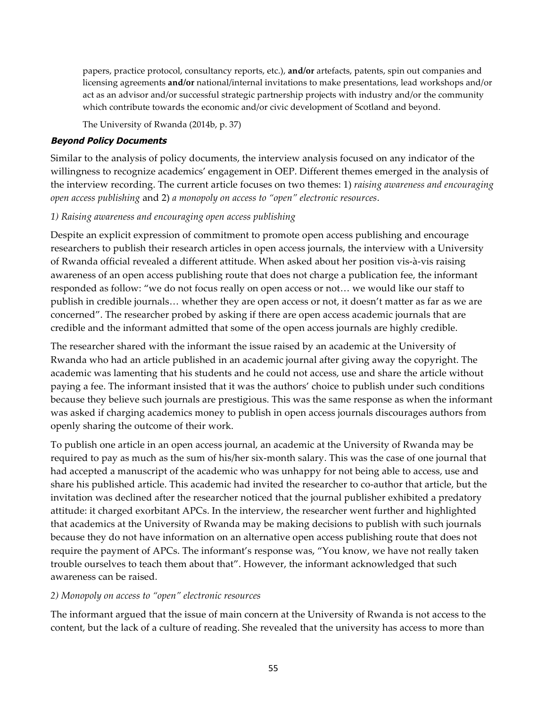papers, practice protocol, consultancy reports, etc.), **and/or** artefacts, patents, spin out companies and licensing agreements **and/or** national/internal invitations to make presentations, lead workshops and/or act as an advisor and/or successful strategic partnership projects with industry and/or the community which contribute towards the economic and/or civic development of Scotland and beyond.

The University of Rwanda (2014b, p. 37)

#### **Beyond Policy Documents**

Similar to the analysis of policy documents, the interview analysis focused on any indicator of the willingness to recognize academics' engagement in OEP. Different themes emerged in the analysis of the interview recording. The current article focuses on two themes: 1) *raising awareness and encouraging open access publishing* and 2) *a monopoly on access to "open" electronic resources*.

#### *1) Raising awareness and encouraging open access publishing*

Despite an explicit expression of commitment to promote open access publishing and encourage researchers to publish their research articles in open access journals, the interview with a University of Rwanda official revealed a different attitude. When asked about her position vis-à-vis raising awareness of an open access publishing route that does not charge a publication fee, the informant responded as follow: "we do not focus really on open access or not… we would like our staff to publish in credible journals… whether they are open access or not, it doesn't matter as far as we are concerned". The researcher probed by asking if there are open access academic journals that are credible and the informant admitted that some of the open access journals are highly credible.

The researcher shared with the informant the issue raised by an academic at the University of Rwanda who had an article published in an academic journal after giving away the copyright. The academic was lamenting that his students and he could not access, use and share the article without paying a fee. The informant insisted that it was the authors' choice to publish under such conditions because they believe such journals are prestigious. This was the same response as when the informant was asked if charging academics money to publish in open access journals discourages authors from openly sharing the outcome of their work.

To publish one article in an open access journal, an academic at the University of Rwanda may be required to pay as much as the sum of his/her six-month salary. This was the case of one journal that had accepted a manuscript of the academic who was unhappy for not being able to access, use and share his published article. This academic had invited the researcher to co-author that article, but the invitation was declined after the researcher noticed that the journal publisher exhibited a predatory attitude: it charged exorbitant APCs. In the interview, the researcher went further and highlighted that academics at the University of Rwanda may be making decisions to publish with such journals because they do not have information on an alternative open access publishing route that does not require the payment of APCs. The informant's response was, "You know, we have not really taken trouble ourselves to teach them about that". However, the informant acknowledged that such awareness can be raised.

#### *2) Monopoly on access to "open" electronic resources*

The informant argued that the issue of main concern at the University of Rwanda is not access to the content, but the lack of a culture of reading. She revealed that the university has access to more than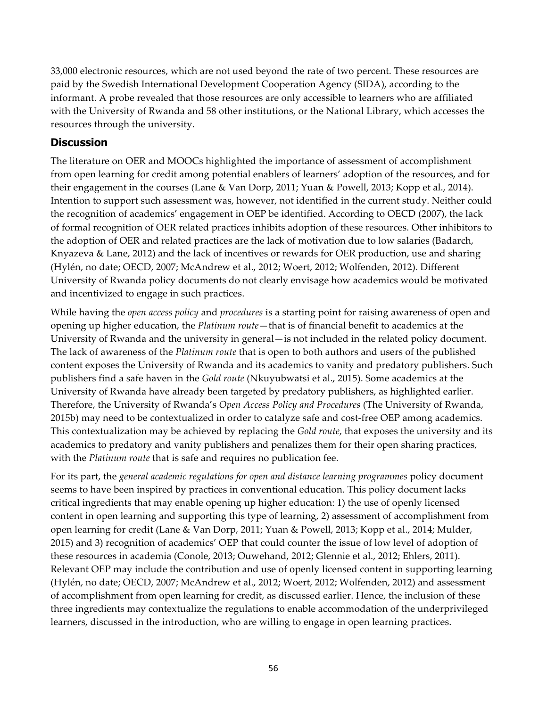33,000 electronic resources, which are not used beyond the rate of two percent. These resources are paid by the Swedish International Development Cooperation Agency (SIDA), according to the informant. A probe revealed that those resources are only accessible to learners who are affiliated with the University of Rwanda and 58 other institutions, or the National Library, which accesses the resources through the university.

## **Discussion**

The literature on OER and MOOCs highlighted the importance of assessment of accomplishment from open learning for credit among potential enablers of learners' adoption of the resources, and for their engagement in the courses (Lane & Van Dorp, 2011; Yuan & Powell, 2013; Kopp et al., 2014). Intention to support such assessment was, however, not identified in the current study. Neither could the recognition of academics' engagement in OEP be identified. According to OECD (2007), the lack of formal recognition of OER related practices inhibits adoption of these resources. Other inhibitors to the adoption of OER and related practices are the lack of motivation due to low salaries (Badarch, Knyazeva & Lane, 2012) and the lack of incentives or rewards for OER production, use and sharing (Hylén, no date; OECD, 2007; McAndrew et al., 2012; Woert, 2012; Wolfenden, 2012). Different University of Rwanda policy documents do not clearly envisage how academics would be motivated and incentivized to engage in such practices.

While having the *open access policy* and *procedures* is a starting point for raising awareness of open and opening up higher education, the *Platinum route*—that is of financial benefit to academics at the University of Rwanda and the university in general—is not included in the related policy document. The lack of awareness of the *Platinum route* that is open to both authors and users of the published content exposes the University of Rwanda and its academics to vanity and predatory publishers. Such publishers find a safe haven in the *Gold route* (Nkuyubwatsi et al., 2015). Some academics at the University of Rwanda have already been targeted by predatory publishers, as highlighted earlier. Therefore, the University of Rwanda's *Open Access Policy and Procedures* (The University of Rwanda, 2015b) may need to be contextualized in order to catalyze safe and cost-free OEP among academics. This contextualization may be achieved by replacing the *Gold route*, that exposes the university and its academics to predatory and vanity publishers and penalizes them for their open sharing practices, with the *Platinum route* that is safe and requires no publication fee.

For its part, the *general academic regulations for open and distance learning programmes* policy document seems to have been inspired by practices in conventional education. This policy document lacks critical ingredients that may enable opening up higher education: 1) the use of openly licensed content in open learning and supporting this type of learning, 2) assessment of accomplishment from open learning for credit (Lane & Van Dorp, 2011; Yuan & Powell, 2013; Kopp et al., 2014; Mulder, 2015) and 3) recognition of academics' OEP that could counter the issue of low level of adoption of these resources in academia (Conole, 2013; Ouwehand, 2012; Glennie et al., 2012; Ehlers, 2011). Relevant OEP may include the contribution and use of openly licensed content in supporting learning (Hylén, no date; OECD, 2007; McAndrew et al., 2012; Woert, 2012; Wolfenden, 2012) and assessment of accomplishment from open learning for credit, as discussed earlier. Hence, the inclusion of these three ingredients may contextualize the regulations to enable accommodation of the underprivileged learners, discussed in the introduction, who are willing to engage in open learning practices.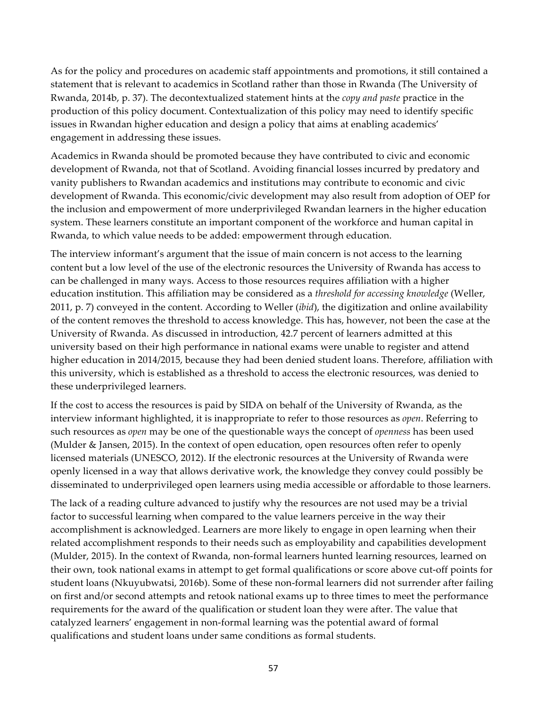As for the policy and procedures on academic staff appointments and promotions, it still contained a statement that is relevant to academics in Scotland rather than those in Rwanda (The University of Rwanda, 2014b, p. 37). The decontextualized statement hints at the *copy and paste* practice in the production of this policy document. Contextualization of this policy may need to identify specific issues in Rwandan higher education and design a policy that aims at enabling academics' engagement in addressing these issues.

Academics in Rwanda should be promoted because they have contributed to civic and economic development of Rwanda, not that of Scotland. Avoiding financial losses incurred by predatory and vanity publishers to Rwandan academics and institutions may contribute to economic and civic development of Rwanda. This economic/civic development may also result from adoption of OEP for the inclusion and empowerment of more underprivileged Rwandan learners in the higher education system. These learners constitute an important component of the workforce and human capital in Rwanda, to which value needs to be added: empowerment through education.

The interview informant's argument that the issue of main concern is not access to the learning content but a low level of the use of the electronic resources the University of Rwanda has access to can be challenged in many ways. Access to those resources requires affiliation with a higher education institution. This affiliation may be considered as a *threshold for accessing knowledge* (Weller, 2011, p. 7) conveyed in the content. According to Weller (*ibid*), the digitization and online availability of the content removes the threshold to access knowledge. This has, however, not been the case at the University of Rwanda. As discussed in introduction, 42.7 percent of learners admitted at this university based on their high performance in national exams were unable to register and attend higher education in 2014/2015, because they had been denied student loans. Therefore, affiliation with this university, which is established as a threshold to access the electronic resources, was denied to these underprivileged learners.

If the cost to access the resources is paid by SIDA on behalf of the University of Rwanda, as the interview informant highlighted, it is inappropriate to refer to those resources as *open*. Referring to such resources as *open* may be one of the questionable ways the concept of *openness* has been used (Mulder & Jansen, 2015). In the context of open education, open resources often refer to openly licensed materials (UNESCO, 2012). If the electronic resources at the University of Rwanda were openly licensed in a way that allows derivative work, the knowledge they convey could possibly be disseminated to underprivileged open learners using media accessible or affordable to those learners.

The lack of a reading culture advanced to justify why the resources are not used may be a trivial factor to successful learning when compared to the value learners perceive in the way their accomplishment is acknowledged. Learners are more likely to engage in open learning when their related accomplishment responds to their needs such as employability and capabilities development (Mulder, 2015). In the context of Rwanda, non-formal learners hunted learning resources, learned on their own, took national exams in attempt to get formal qualifications or score above cut-off points for student loans (Nkuyubwatsi, 2016b). Some of these non-formal learners did not surrender after failing on first and/or second attempts and retook national exams up to three times to meet the performance requirements for the award of the qualification or student loan they were after. The value that catalyzed learners' engagement in non-formal learning was the potential award of formal qualifications and student loans under same conditions as formal students.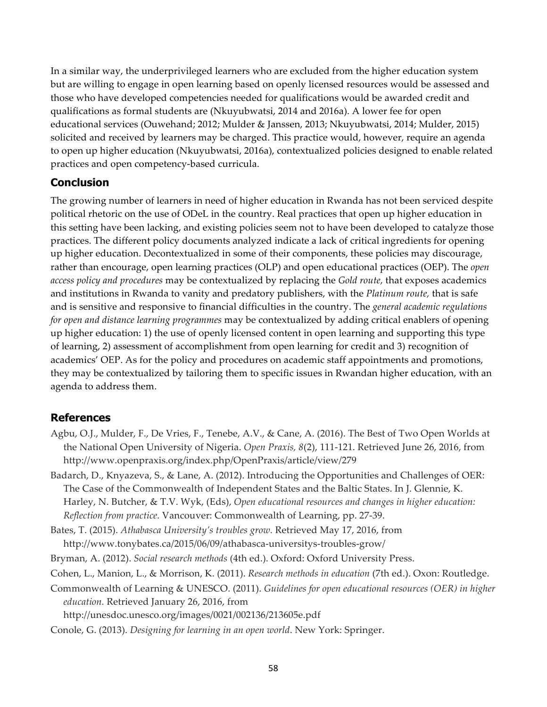In a similar way, the underprivileged learners who are excluded from the higher education system but are willing to engage in open learning based on openly licensed resources would be assessed and those who have developed competencies needed for qualifications would be awarded credit and qualifications as formal students are (Nkuyubwatsi, 2014 and 2016a). A lower fee for open educational services (Ouwehand; 2012; Mulder & Janssen, 2013; Nkuyubwatsi, 2014; Mulder, 2015) solicited and received by learners may be charged. This practice would, however, require an agenda to open up higher education (Nkuyubwatsi, 2016a), contextualized policies designed to enable related practices and open competency-based curricula.

## **Conclusion**

The growing number of learners in need of higher education in Rwanda has not been serviced despite political rhetoric on the use of ODeL in the country. Real practices that open up higher education in this setting have been lacking, and existing policies seem not to have been developed to catalyze those practices. The different policy documents analyzed indicate a lack of critical ingredients for opening up higher education. Decontextualized in some of their components, these policies may discourage, rather than encourage, open learning practices (OLP) and open educational practices (OEP). The *open access policy and procedures* may be contextualized by replacing the *Gold route,* that exposes academics and institutions in Rwanda to vanity and predatory publishers, with the *Platinum route,* that is safe and is sensitive and responsive to financial difficulties in the country. The *general academic regulations for open and distance learning programmes* may be contextualized by adding critical enablers of opening up higher education: 1) the use of openly licensed content in open learning and supporting this type of learning, 2) assessment of accomplishment from open learning for credit and 3) recognition of academics' OEP. As for the policy and procedures on academic staff appointments and promotions, they may be contextualized by tailoring them to specific issues in Rwandan higher education, with an agenda to address them.

#### **References**

- Agbu, O.J., Mulder, F., De Vries, F., Tenebe, A.V., & Cane, A. (2016). The Best of Two Open Worlds at the National Open University of Nigeria. *Open Praxis, 8*(2), 111-121. Retrieved June 26, 2016, from http://www.openpraxis.org/index.php/OpenPraxis/article/view/279
- Badarch, D., Knyazeva, S., & Lane, A. (2012). Introducing the Opportunities and Challenges of OER: The Case of the Commonwealth of Independent States and the Baltic States. In J. Glennie, K. Harley, N. Butcher, & T.V. Wyk, (Eds), *Open educational resources and changes in higher education: Reflection from practice.* Vancouver: Commonwealth of Learning, pp. 27-39.
- Bates, T. (2015). *Athabasca University's troubles grow.* Retrieved May 17, 2016, from http://www.tonybates.ca/2015/06/09/athabasca-universitys-troubles-grow/

Bryman, A. (2012). *Social research methods* (4th ed.). Oxford: Oxford University Press.

- Cohen, L., Manion, L., & Morrison, K. (2011). *Research methods in education* (7th ed.). Oxon: Routledge.
- Commonwealth of Learning & UNESCO. (2011). *Guidelines for open educational resources (OER) in higher education.* Retrieved January 26, 2016, from

http://unesdoc.unesco.org/images/0021/002136/213605e.pdf

Conole, G. (2013). *Designing for learning in an open world*. New York: Springer.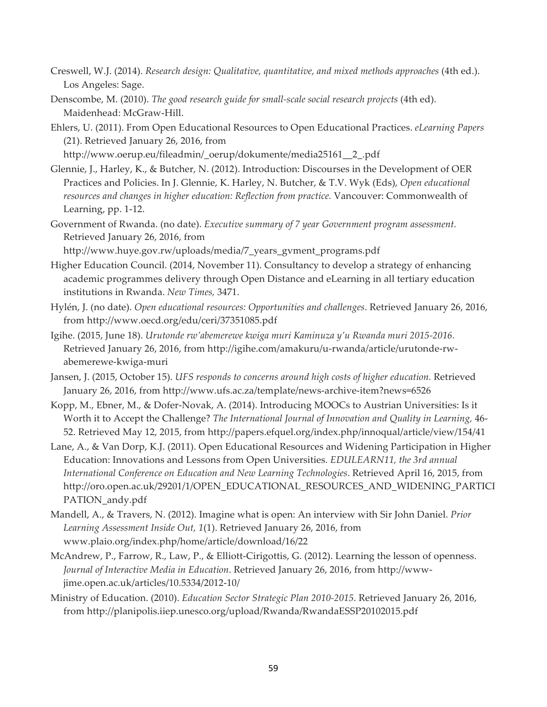- Creswell, W.J. (2014). *Research design: Qualitative, quantitative, and mixed methods approaches* (4th ed.). Los Angeles: Sage.
- Denscombe, M. (2010). *The good research guide for small-scale social research projects* (4th ed). Maidenhead: McGraw-Hill.
- Ehlers, U. (2011). From Open Educational Resources to Open Educational Practices. *eLearning Papers* (21). Retrieved January 26, 2016, from

http://www.oerup.eu/fileadmin/\_oerup/dokumente/media25161\_\_2\_.pdf

- Glennie, J., Harley, K., & Butcher, N. (2012). Introduction: Discourses in the Development of OER Practices and Policies. In J. Glennie, K. Harley, N. Butcher, & T.V. Wyk (Eds), *Open educational resources and changes in higher education: Reflection from practice.* Vancouver: Commonwealth of Learning, pp. 1-12.
- Government of Rwanda. (no date). *Executive summary of 7 year Government program assessment.* Retrieved January 26, 2016, from

http://www.huye.gov.rw/uploads/media/7\_years\_gvment\_programs.pdf

- Higher Education Council. (2014, November 11). Consultancy to develop a strategy of enhancing academic programmes delivery through Open Distance and eLearning in all tertiary education institutions in Rwanda. *New Times,* 3471.
- Hylén, J. (no date). *Open educational resources: Opportunities and challenges*. Retrieved January 26, 2016, from http://www.oecd.org/edu/ceri/37351085.pdf
- Igihe. (2015, June 18). *Urutonde rw'abemerewe kwiga muri Kaminuza y'u Rwanda muri 2015-2016.* Retrieved January 26, 2016, from http://igihe.com/amakuru/u-rwanda/article/urutonde-rwabemerewe-kwiga-muri
- Jansen, J. (2015, October 15). *UFS responds to concerns around high costs of higher education.* Retrieved January 26, 2016, from http://www.ufs.ac.za/template/news-archive-item?news=6526
- Kopp, M., Ebner, M., & Dofer-Novak, A. (2014). Introducing MOOCs to Austrian Universities: Is it Worth it to Accept the Challenge? *The International Journal of Innovation and Quality in Learning,* 46- 52. Retrieved May 12, 2015, from http://papers.efquel.org/index.php/innoqual/article/view/154/41
- Lane, A., & Van Dorp, K.J. (2011). Open Educational Resources and Widening Participation in Higher Education: Innovations and Lessons from Open Universities. *EDULEARN11, the 3rd annual International Conference on Education and New Learning Technologies*. Retrieved April 16, 2015, from http://oro.open.ac.uk/29201/1/OPEN\_EDUCATIONAL\_RESOURCES\_AND\_WIDENING\_PARTICI PATION\_andy.pdf
- Mandell, A., & Travers, N. (2012). Imagine what is open: An interview with Sir John Daniel. *Prior Learning Assessment Inside Out, 1*(1). Retrieved January 26, 2016, from www.plaio.org/index.php/home/article/download/16/22
- McAndrew, P., Farrow, R., Law, P., & Elliott-Cirigottis, G. (2012). Learning the lesson of openness. *Journal of Interactive Media in Education*. Retrieved January 26, 2016, from http://wwwjime.open.ac.uk/articles/10.5334/2012-10/
- Ministry of Education. (2010). *Education Sector Strategic Plan 2010-2015.* Retrieved January 26, 2016, from http://planipolis.iiep.unesco.org/upload/Rwanda/RwandaESSP20102015.pdf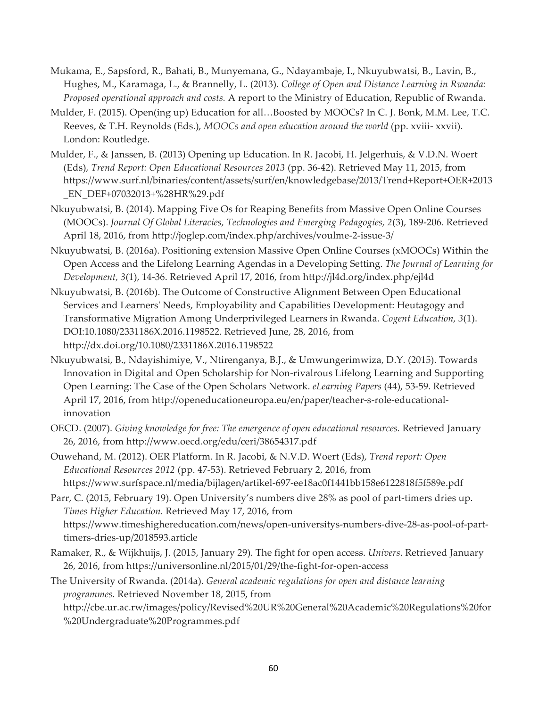- Mukama, E., Sapsford, R., Bahati, B., Munyemana, G., Ndayambaje, I., Nkuyubwatsi, B., Lavin, B., Hughes, M., Karamaga, L., & Brannelly, L. (2013). *College of Open and Distance Learning in Rwanda: Proposed operational approach and costs.* A report to the Ministry of Education, Republic of Rwanda.
- Mulder, F. (2015). Open(ing up) Education for all…Boosted by MOOCs? In C. J. Bonk, M.M. Lee, T.C. Reeves, & T.H. Reynolds (Eds.), *MOOCs and open education around the world* (pp. xviii- xxvii). London: Routledge.
- Mulder, F., & Janssen, B. (2013) Opening up Education. In R. Jacobi, H. Jelgerhuis, & V.D.N. Woert (Eds), *Trend Report: Open Educational Resources 2013* (pp. 36-42). Retrieved May 11, 2015, from https://www.surf.nl/binaries/content/assets/surf/en/knowledgebase/2013/Trend+Report+OER+2013 \_EN\_DEF+07032013+%28HR%29.pdf
- Nkuyubwatsi, B. (2014). Mapping Five Os for Reaping Benefits from Massive Open Online Courses (MOOCs). *Journal Of Global Literacies, Technologies and Emerging Pedagogies, 2*(3), 189-206. Retrieved April 18, 2016, from http://joglep.com/index.php/archives/voulme-2-issue-3/
- Nkuyubwatsi, B. (2016a). Positioning extension Massive Open Online Courses (xMOOCs) Within the Open Access and the Lifelong Learning Agendas in a Developing Setting. *The Journal of Learning for Development, 3*(1), 14-36. Retrieved April 17, 2016, from http://jl4d.org/index.php/ejl4d
- Nkuyubwatsi, B. (2016b). The Outcome of Constructive Alignment Between Open Educational Services and Learners' Needs, Employability and Capabilities Development: Heutagogy and Transformative Migration Among Underprivileged Learners in Rwanda. *Cogent Education, 3*(1). DOI:10.1080/2331186X.2016.1198522. Retrieved June, 28, 2016, from http://dx.doi.org/10.1080/2331186X.2016.1198522
- Nkuyubwatsi, B., Ndayishimiye, V., Ntirenganya, B.J., & Umwungerimwiza, D.Y. (2015). Towards Innovation in Digital and Open Scholarship for Non-rivalrous Lifelong Learning and Supporting Open Learning: The Case of the Open Scholars Network. *eLearning Papers* (44), 53-59. Retrieved April 17, 2016, from http://openeducationeuropa.eu/en/paper/teacher-s-role-educationalinnovation
- OECD. (2007). *Giving knowledge for free: The emergence of open educational resources.* Retrieved January 26, 2016, from http://www.oecd.org/edu/ceri/38654317.pdf
- Ouwehand, M. (2012). OER Platform. In R. Jacobi, & N.V.D. Woert (Eds), *Trend report: Open Educational Resources 2012* (pp. 47-53). Retrieved February 2, 2016, from https://www.surfspace.nl/media/bijlagen/artikel-697-ee18ac0f1441bb158e6122818f5f589e.pdf

Parr, C. (2015, February 19). Open University's numbers dive 28% as pool of part-timers dries up. *Times Higher Education.* Retrieved May 17, 2016, from https://www.timeshighereducation.com/news/open-universitys-numbers-dive-28-as-pool-of-parttimers-dries-up/2018593.article

Ramaker, R., & Wijkhuijs, J. (2015, January 29). The fight for open access. *Univers*. Retrieved January 26, 2016, from https://universonline.nl/2015/01/29/the-fight-for-open-access

The University of Rwanda. (2014a). *General academic regulations for open and distance learning programmes.* Retrieved November 18, 2015, from http://cbe.ur.ac.rw/images/policy/Revised%20UR%20General%20Academic%20Regulations%20for %20Undergraduate%20Programmes.pdf